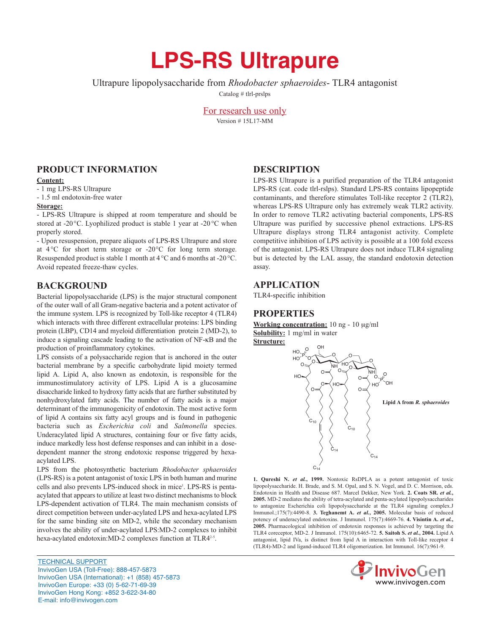# **LPS-RS Ultrapure**

Ultrapure lipopolysaccharide from *Rhodobacter sphaeroides*- TLR4 antagonist

Catalog # tlrl-prslps

For research use only Version # 15L17-MM

# **PRODUCT INFORMATION**

### **Content:**

- 1 mg LPS-RS Ultrapure

- 1.5 ml endotoxin-free water

## **Storage:**

- LPS-RS Ultrapure is shipped at room temperature and should be stored at -20°C. Lyophilized product is stable 1 year at -20°C when properly stored.

- Upon resuspension, prepare aliquots of LPS-RS Ultrapure and store at  $4^{\circ}$ C for short term storage or  $-20^{\circ}$ C for long term storage. Resuspended product is stable 1 month at 4 °C and 6 months at -20°C. Avoid repeated freeze-thaw cycles.

# **BACKGROUND**

Bacterial lipopolysaccharide (LPS) is the major structural component of the outer wall of all Gram-negative bacteria and a potent activator of the immune system. LPS is recognized by Toll-like receptor 4 (TLR4) which interacts with three different extracellular proteins: LPS binding protein (LBP), CD14 and myeloid differentiation protein 2 (MD-2), to induce a signaling cascade leading to the activation of NF-kB and the production of proinflammatory cytokines.

LPS consists of a polysaccharide region that is anchored in the outer bacterial membrane by a specific carbohydrate lipid moiety termed lipid A. Lipid A, also known as endotoxin, is responsible for the immunostimulatory activity of LPS. Lipid A is a glucosamine disaccharide linked to hydroxy fatty acids that are further substituted by nonhydroxylated fatty acids. The number of fatty acids is a major determinant of the immunogenicity of endotoxin. The most active form of lipid A contains six fatty acyl groups and is found in pathogenic bacteria such as *Escherichia coli* and *Salmonella* species. Underacylated lipid A structures, containing four or five fatty acids, induce markedly less host defense responses and can inhibit in a dosedependent manner the strong endotoxic response triggered by hexaacylated LPS.

LPS from the photosynthetic bacterium *Rhodobacter sphaeroides* (LPS-RS) is a potent antagonist of toxic LPS in both human and murine cells and also prevents LPS-induced shock in mice<sup>1</sup>. LPS-RS is pentaacylated that appears to utilize at least two distinct mechanisms to block LPS-dependent activation of TLR4. The main mechanism consists of direct competition between under-acylated LPS and hexa-acylated LPS for the same binding site on MD-2, while the secondary mechanism involves the ability of under-acylated LPS:MD-2 complexes to inhibit hexa-acylated endotoxin: MD-2 complexes function at TLR4<sup>2-5</sup>.

TECHNICAL SUPPORT InvivoGen USA (Toll‑Free): 888-457-5873 InvivoGen USA (International): +1 (858) 457-5873 InvivoGen Europe: +33 (0) 5-62-71-69-39 InvivoGen Hong Kong: +852 3-622-34-80 E-mail: info@invivogen.com

## **DESCRIPTION**

LPS-RS Ultrapure is a purified preparation of the TLR4 antagonist LPS-RS (cat. code tlrl-rslps). Standard LPS-RS contains lipopeptide contaminants, and therefore stimulates Toll-like receptor 2 (TLR2), whereas LPS-RS Ultrapure only has extremely weak TLR2 activity. In order to remove TLR2 activating bacterial components, LPS-RS Ultrapure was purified by successive phenol extractions. LPS-RS Ultrapure displays strong TLR4 antagonist activity. Complete competitive inhibition of LPS activity is possible at a 100 fold excess of the antagonist. LPS-RS Ultrapure does not induce TLR4 signaling but is detected by the LAL assay, the standard endotoxin detection assay.

## **APPLICATION**

TLR4-specific inhibition

## **PROPERTIES**

**Working concentration:** 10 ng - 10 μg/ml **Solubility:** 1 mg/ml in water **Structure:**



**1. Qureshi N.** *et al.***, 1999.** Nontoxic RsDPLA as a potent antagonist of toxic lipopolysaccharide. H. Brade, and S. M. Opal, and S. N. Vogel, and D. C. Morrison, eds. Endotoxin in Health and Disease 687. Marcel Dekker, New York. **2. Coats SR.** *et al.***, 2005.** MD-2 mediates the ability of tetra-acylated and penta-acylated lipopolysaccharides to antagonize Escherichia coli lipopolysaccharide at the TLR4 signaling complex.J Immunol.;175(7):4490-8. **3. Teghanemt A.** *et al.***, 2005.** Molecular basis of reduced potency of underacylated endotoxins. J Immunol. 175(7):4669-76. **4. Visintin A.** *et al.***, 2005.** Pharmacological inhibition of endotoxin responses is achieved by targeting the TLR4 coreceptor, MD-2. J Immunol. 175(10):6465-72. **5. Saitoh S.** *et al.***, 2004.** Lipid A antagonist, lipid IVa, is distinct from lipid A in interaction with Toll-like receptor 4 (TLR4)-MD-2 and ligand-induced TLR4 oligomerization. Int Immunol. 16(7):961-9.